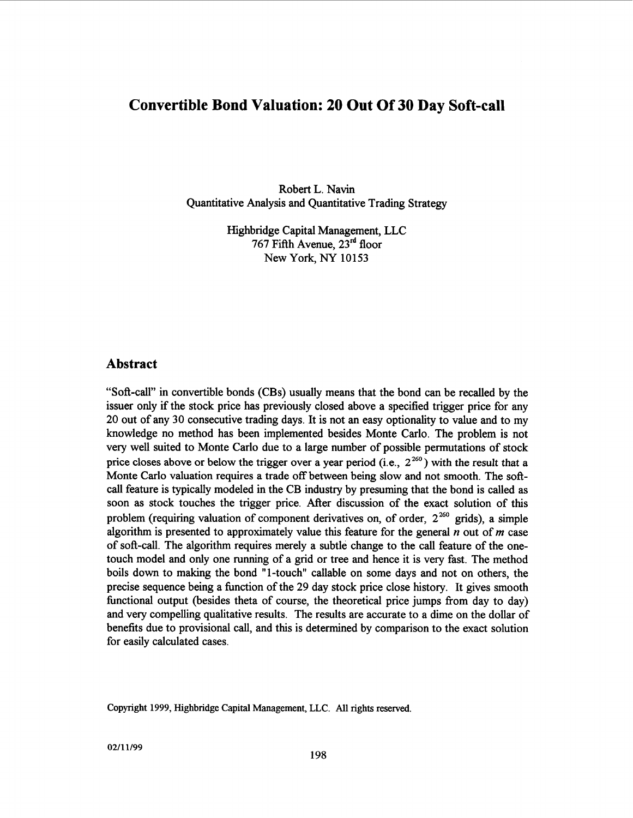# **Convertible Bond Valuation: 20 Out Of 30 Day Soft-call**

Robert L. Navin Quantitative Analysis and Quantitative Trading Strategy

> Highbridge Capital Management, LLC 767 Fifth Avenue,  $23<sup>rd</sup>$  floor New York, *NY* 10153

## **Abstract**

"Soft-call" in convertible bonds (CBs) usually means that the bond can be recalled by the issuer only if the stock price has previously closed above a specified trigger price for any 20 out of any 30 consecutive trading days. It is not an easy optionality to value and to my knowledge no method has been implemented besides Monte Carlo. The problem is not very well suited to Monte Carlo due to a large number of possible permutations of stock price closes above or below the trigger over a year period (i.e., *2260)* with the result that a Monte Carlo valuation requires a trade **off** between being slow and not smooth. The softcall feature is typically modeled in the CB industry by presuming that the bond is called as soon as stock touches the trigger price. After discussion of the exact solution of this problem (requiring valuation of component derivatives on, of order, *2260* grids), a simple algorithm is presented to approximately value this feature for the general  $n$  out of  $m$  case of soft-call. The algorithm requires merely a subtle change to the call feature of the onetouch model and only one running of a grid or tree and hence it is very fast. The method boils down to making the bond "1-touch" callable on some days and not on others, the precise sequence being a function of the 29 day stock price close history. It gives smooth functional output (besides theta of course, the theoretical price jumps from day to day) and very compelling qualitative results. The results are accurate to a dime on the dollar of benefits due to provisional call, and this is determined by comparison to the exact solution for easily calculated cases.

Copyright 1999, Highbridge Capital Management, LLC. All rights reserved.

**0211 1/99**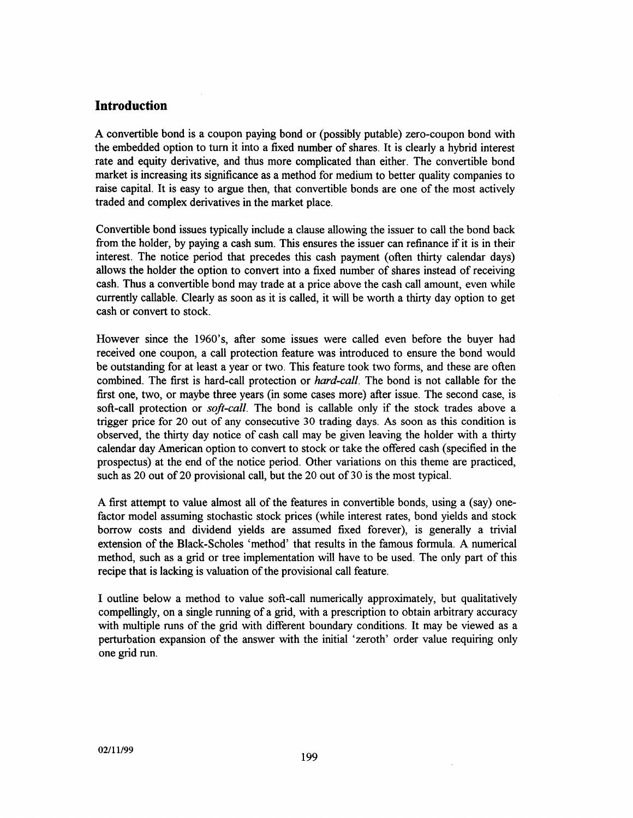# **Introduction**

A convertible bond is a coupon paying bond or (possibly putable) zero-coupon bond with the embedded option to turn it into a fixed number of shares. It is clearly a hybrid interest rate and equity derivative, and thus more complicated than either. The convertible bond market is increasing its significance as a method for medium to better quality companies to raise capital. It is easy to argue then, that convertible bonds are one of the most actively traded and complex derivatives in the market place.

Convertible bond issues typically include a clause allowing the issuer to call the bond back from the holder, by paying a cash sum. This ensures the issuer can refinance if it is in their interest. The notice period that precedes this cash payment (often thirty calendar days) allows the holder the option to convert into a fixed number of shares instead of receiving cash. Thus a convertible bond may trade at a price above the cash call amount, even while currently callable. Clearly as soon as it is called, it will be worth a thirty day option to get cash or convert to stock.

However since the **1960's,** after some issues were called even before the buyer had received one coupon, a call protection feature was introduced to ensure the bond would be outstanding for at least a year or two. This feature took two forms, and these are often combined. The first is hard-call protection or *hard-call.* The bond is not callable for the first one, two, or maybe three years (in some cases more) after issue. The second case, is soft-call protection or *soft-call.* The bond is callable only if the stock trades above a trigger price for 20 out of any consecutive 30 trading days. As soon as this condition is observed, the thirty day notice of cash call may be given leaving the holder with a thirty calendar day American option to convert to stock or take the offered cash (specified in the prospectus) at the end of the notice period. Other variations on this theme are practiced, such as 20 out of 20 provisional call, but the 20 out of **30** is the most typical.

A first attempt to value almost all of the features in convertible bonds, using a (say) onefactor model assuming stochastic stock prices (while interest rates, bond yields and stock borrow costs and dividend yields are assumed fixed forever), is generally a trivial extension of the Black-Scholes 'method' that results in the famous formula. A numerical method, such as a grid or tree implementation will have to be used. The only part of this recipe that is lacking is valuation of the provisional call feature.

I outline below a method to value soft-call numerically approximately, but qualitatively compellingly, on a single running of a grid, with a prescription to obtain arbitrary accuracy with multiple runs of the grid with different boundary conditions. It may be viewed as a perturbation expansion of the answer with the initial 'zeroth' order value requiring only one grid run.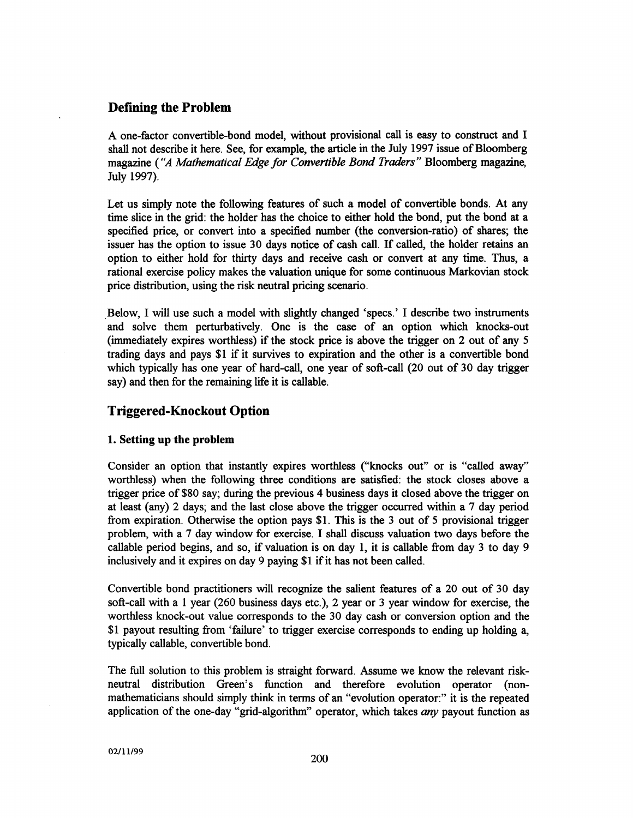# **Defining the Problem**

A one-factor convertible-bond model, without provisional call is easy to construct and I shall not describe it here. See, for example, the article in the July 1997 issue of Bloomberg magazine ("A *Mathematical Edge for Convertible Bond Traders"* Bloomberg magazine, July 1997).

Let us simply note the following features of such a model of convertible bonds. At any time slice in the grid: the holder has the choice to either hold the bond, put the bond at a specified price, or convert into a specified number (the conversion-ratio) of shares; the issuer has the option to issue 30 days notice of cash call. If called, the holder retains an option to either hold for thirty days and receive cash or convert at any time. Thus, a rational exercise policy makes the valuation unique for some continuous Markovian stock price distribution, using the risk neutral pricing scenario.

.Below, I will use such a model with slightly changed 'specs.' I describe two instruments and solve them perturbatively. One is the case of an option which knocks-out (immediately expires worthless) if the stock price is above the trigger on 2 out of any *5*  trading days and pays \$1 if it survives to expiration and the other is a convertible bond which typically has one year of hard-call, one year of soft-call (20 out of 30 day trigger say) and then for the remaining life it is callable.

## **Triggered-Knockout Option**

## **1. Setting up the problem**

Consider an option that instantly expires worthless ("knocks out" or is "called away" worthless) when the following three conditions are satisfied: the stock closes above a trigger price of \$80 say; during the previous **4** business days it closed above the trigger on at least (any) 2 days; and the last close above the trigger occurred within a 7 day period from expiration. Otherwise the option pays \$1. This is the 3 out of *5* provisional trigger problem, with a 7 day window for exercise. I shall discuss valuation two days before the callable period begins, and **so,** if valuation is on day 1, it is callable from day 3 to day 9 inclusively and it expires on day 9 paying \$1 if it has not been called.

Convertible bond practitioners will recognize the salient features of a 20 out of 30 day soft-call with a 1 year (260 business days etc.), 2 year or 3 year window for exercise, the worthless knock-out value corresponds to the 30 day cash or conversion option and the \$1 payout resulting from 'failure' to trigger exercise corresponds to ending up holding a, typically callable, convertible bond.

The fill solution to this problem is straight forward. Assume we know the relevant riskneutral distribution Green's finction and therefore evolution operator (nonmathematicians should simply think in terms of an "evolution operator:" it is the repeated application of the one-day "grid-algorithm" operator, which takes *any* payout function as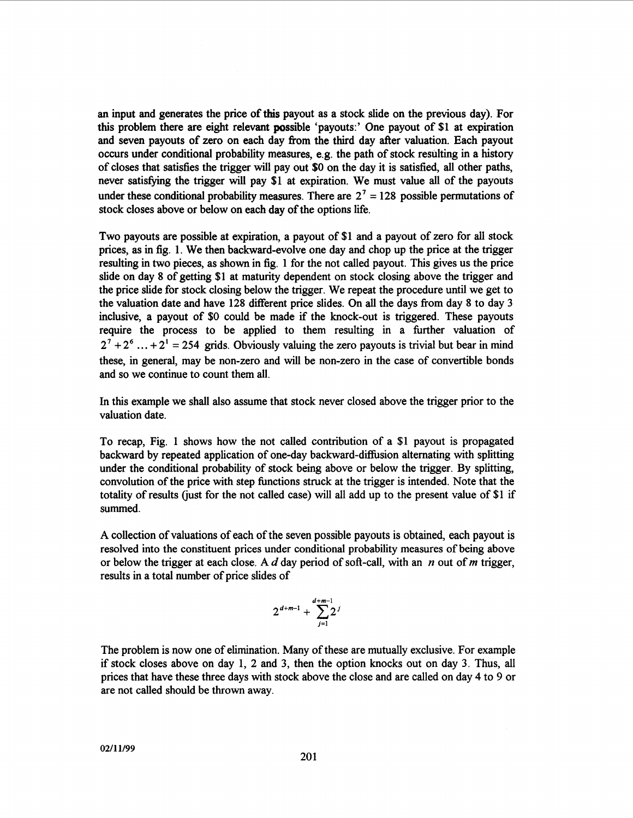an input and generates the price of this payout as a stock slide on the previous day). For this problem there are eight relevant possible 'payouts:' One payout of **\$1** at expiration and seven payouts of zero on each day from the third day after valuation. Each payout occurs under conditional probability measures, e.g. the path of stock resulting in a history of closes that satisfies the trigger will pay out \$0 on the day it is satisfied, all other paths, never satisfying the trigger will pay \$1 at expiration. We must value all of the payouts under these conditional probability measures. There are  $2^7 = 128$  possible permutations of stock closes above or below on each day of the options life.

Two payouts are possible at expiration, a payout of **\$1** and a payout of zero for all stock prices, as in [fig.](#page-5-0) **1.** We then backward-evolve one day and chop up the price at the trigger resulting in two pieces, as shown in [fig.](#page-5-0) **1** for the not called payout. This gives us the price slide on day **8** of getting **\$1** at maturity dependent on stock closing above the trigger and the price slide for stock closing below the trigger. We repeat the procedure until we get to the valuation date and have **128** different price slides. On all the days from day **8** to day **3**  inclusive, a payout of \$0 could be made if the knock-out is triggered. These payouts require the process to be applied to them resulting in a further valuation of  $2^7 + 2^6$   $\dots$  +  $2^1 = 254$  grids. Obviously valuing the zero payouts is trivial but bear in mind these, in general, may be non-zero and will be non-zero in the case of convertible bonds and **so** we continue to count them all.

In this example we shall also assume that stock never closed above the trigger prior to the valuation date.

To recap, [Fig.](#page-5-0) **1** shows how the not called contribution of a **\$1** payout is propagated backward by repeated application of one-day backward-diffision alternating with splitting under the conditional probability of stock being above or below the trigger. By splitting, convolution of the price with step hnctions struck at the trigger is intended. Note that the totality of results (just for the not called case) will all add up to the present value of **\$1** if summed.

A collection of valuations of each of the seven possible payouts is obtained, each payout is resolved into the constituent prices under conditional probability measures of being above or below the trigger at each close. A d day period of soft-call, with an n out of *m* trigger, results in a total number of price slides of

$$
2^{d+m-1}+\sum_{j=1}^{d+m-1}2^j
$$

The problem is now one of elimination. Many of these are mutually exclusive. For example if stock closes above on day **1, 2** and **3,** then the option knocks out on day 3. Thus, all prices that have these three days with stock above the close and are called on day **4** to 9 or are not called should be thrown away.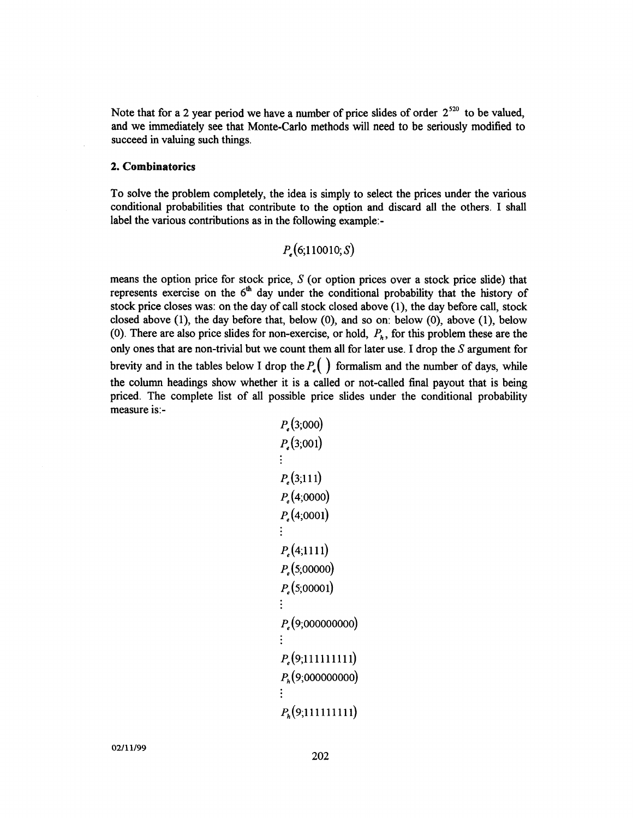Note that for a 2 year period we have a number of price slides of order *2520* to be valued, and we immediately see that Monte-Carlo methods will need to be seriously modified to succeed in valuing such things.

#### **2. Combinatorics**

To solve the problem completely, the idea is simply to select the prices under the various conditional probabilities that contribute to the option and discard all the others. I shall label the various contributions as in the following example:-

$$
P_e(6;110010;S)
$$

means the option price for stock price, *S* (or option prices over a stock price slide) that represents exercise on the  $6<sup>th</sup>$  day under the conditional probability that the history of stock price closes was: on the day of call stock closed above (l), the day before call, stock closed above  $(1)$ , the day before that, below  $(0)$ , and so on: below  $(0)$ , above  $(1)$ , below (0). There are also price slides for non-exercise, or hold,  $P_h$ , for this problem these are the only ones that are non-trivial but we count them all for later use. I drop the *S* argument for brevity and in the tables below I drop the  $P_e($  ) formalism and the number of days, while the column headings show whether it is a called or not-called final payout that is being priced. The complete list of all possible price slides under the conditional probability measure is:-

$$
P_e(3,000)
$$
\n
$$
P_e(3,001)
$$
\n
$$
P_e(3,111)
$$
\n
$$
P_e(4,0000)
$$
\n
$$
P_e(4,0001)
$$
\n
$$
P_e(4,1111)
$$
\n
$$
P_e(5,00000)
$$
\n
$$
P_e(5,00001)
$$
\n
$$
P_e(9,000000000)
$$
\n
$$
P_e(9,11111111)
$$
\n
$$
P_h(9,000000000)
$$
\n
$$
P_h(9,111111111)
$$

**0211 1/99**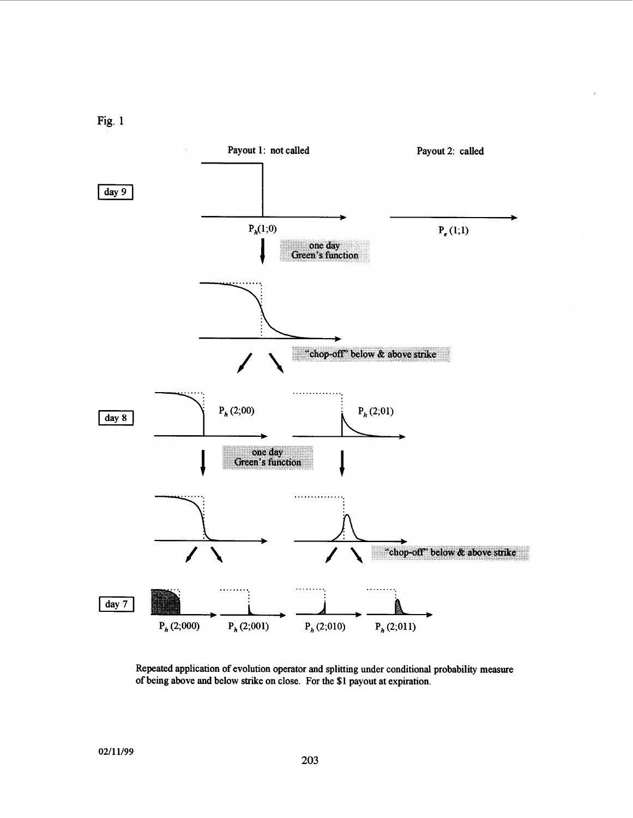<span id="page-5-0"></span>

Repeated application of evolution operator and splitting under conditional probability measure of being above and below strike on close. For the \$1 payout at expiration.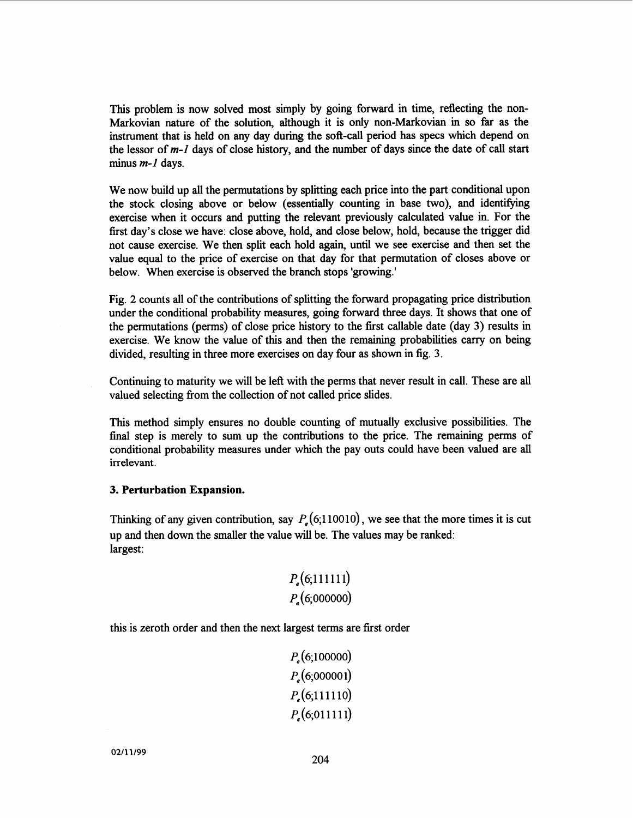This problem is now solved most simply by going forward in time, reflecting the non-Markovian nature of the solution, although it is only non-Markovian in so far as the instrument that is held on any day during the soft-call period has specs which depend on the lessor of *m-I* days of close history, and the number of days since the date of call start minus *m-I* days.

We now build up all the permutations by splitting each price into the part conditional upon the stock closing above or below (essentially counting in base two), and identifying exercise when it occurs and putting the relevant previously calculated value in. For the first day's close we have: close above, hold, and close below, hold, because the trigger did not cause exercise. We then split each hold again, until we see exercise and then set the value equal to the price of exercise on that day for that permutation of closes above or below. When exercise is observed the branch stops 'growing.'

Fig. 2 counts all of the contributions of splitting the forward propagating price distribution under the conditional probability measures, going forward three days. It shows that one of the permutations (perms) of close price history to the first callable date (day **3)** results in exercise. We know the value of this and then the remaining probabilities carry on being divided, resulting in three more exercises on day four as shown in [fig.](#page-8-0) **3.** 

Continuing to maturity we will be left with the perms that never result in call. These are all valued selecting from the collection of not called price slides.

This method simply ensures no double counting of mutually exclusive possibilities. The final step is merely to sum up the contributions to the price. The remaining perms of conditional probability measures under which the pay outs could have been valued are all irrelevant.

#### **3. Perturbation Expansion.**

Thinking of any given contribution, say  $P_e(6,110010)$ , we see that the more times it is cut up and then down the smaller the value will be. The values may be ranked: largest:

$$
P_e(6;111111) \\
P_e(6;000000)
$$

this is zeroth order and then the next largest terms are first order

$$
P_e(6;100000)
$$
  
\n
$$
P_e(6;000001)
$$
  
\n
$$
P_e(6;111110)
$$
  
\n
$$
P_e(6;011111)
$$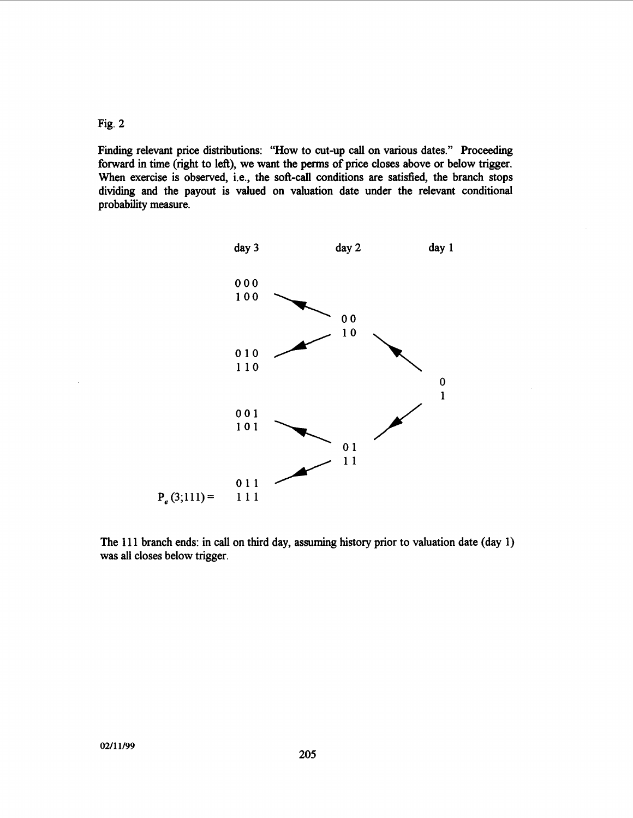Fig. 2

Finding relevant price distributions: "How to cut-up call on various dates." Proceeding forward in time (right to left), we want the perms of price closes above or below trigger. When exercise is observed, i.e., the soft-call conditions are satisfied, the branch stops dividing and the payout is valued on valuation date under the relevant conditional probability measure.



The 111 branch ends: in call on third day, assuming history prior to valuation date (day 1) was all closes below trigger.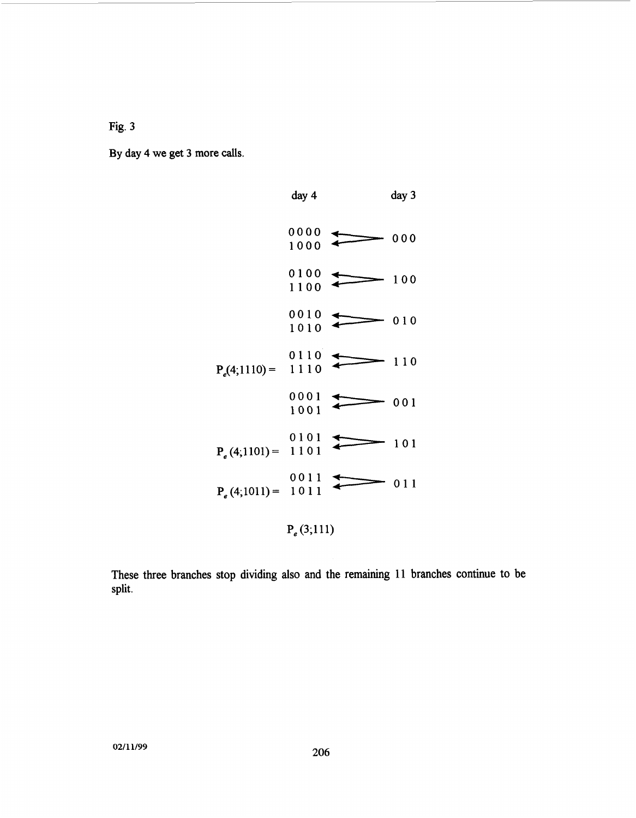<span id="page-8-0"></span>**Fig. 3** 

**By day 4 we get 3 more calls.** 



**These three branches stop dividing also and the remaining 11 branches continue to be split.**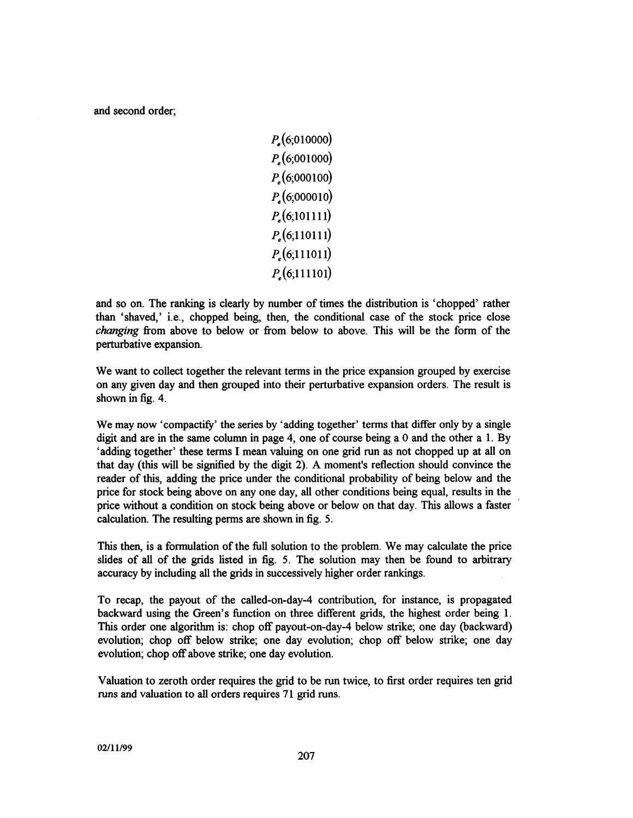and second order;

**P8(6;010000) P8(6;001000)**  *P*<sub>*(*6;000100)</sub> **P,(6;000010) P,(6;101 11 1)**   $P_e(6;110111)$ **P,(6;1 1101 1) P,(6;1 11 101)** 

and so on. The ranking is clearly by number of times the distribution is 'chopped' rather than 'shaved,' i.e., chopped being, then, the conditional case of the stock price close changing from above to below or from below to above. This will be the form of the perturbative expansion.

We want to collect together the relevant terms in the price expansion grouped by exercise on any given day and then grouped into their perturbative expansion orders. The result is shown in [fig. 4.](#page-10-0)

We may now 'compactify' the series by 'adding together' terms that differ only by a single digit and are in the same column in page 4, one of course being a 0 and the other a **1.** By 'adding together' these terms I mean valuing on one grid run as not chopped up at all on that day (this will be signified by the digit 2). A moment's reflection should convince the reader of this, adding the price under the conditional probability of being below and the price for stock being above on any one day, all other conditions being equal, results in the price without a condition on stock being above or below on that day. This allows a faster ' calculation. The resulting perms are shown in fig. *5.* 

This then, is a formulation of the full solution to the problem. We may calculate the price slides of all of the grids listed in fig. *5.* The solution may then be found to arbitrary accuracy by including all the grids in successively higher order rankings.

To recap, the payout of the called-on-day-4 contribution, for instance, is propagated backward using the Green's function on three different grids, the highest order being **1.**  This order one algorithm is: chop off payout-on-day-4 below strike; one day (backward) evolution; chop off below strike; one day evolution; chop off below strike; one day evolution; chop *off* above strike; one day evolution.

Valuation to zeroth order requires the grid to be run twice, to first order requires ten grid runs and valuation to all orders requires 71 grid runs.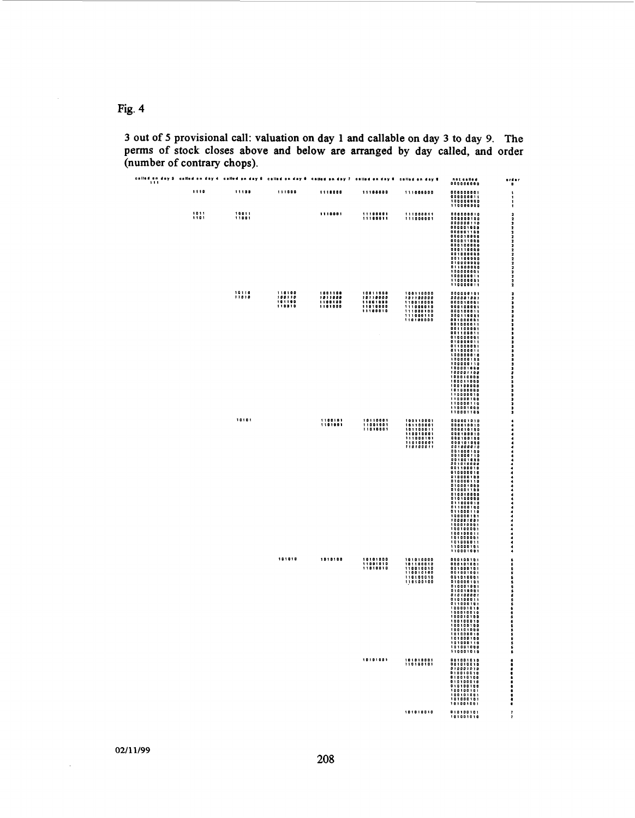<span id="page-10-0"></span>Fig. 4

3 out of 5 provisional call: valuation on day 1 and callable on day 3 to day 9. The perms of stock closes above and below are arranged by day called, and order (number of contrary chops).

| called on day 3 called on day 4 called on day 5 called on day 8 called on day 7 called on day 8 called on day 5<br>111 |              |                |                                      |                                  |                                                                    |                                                                                                | not called<br>000000000                                                                                                                                                                                                                                                                                                                                                                                         | ord a r<br>o                                                                                                                                                                  |
|------------------------------------------------------------------------------------------------------------------------|--------------|----------------|--------------------------------------|----------------------------------|--------------------------------------------------------------------|------------------------------------------------------------------------------------------------|-----------------------------------------------------------------------------------------------------------------------------------------------------------------------------------------------------------------------------------------------------------------------------------------------------------------------------------------------------------------------------------------------------------------|-------------------------------------------------------------------------------------------------------------------------------------------------------------------------------|
|                                                                                                                        | 1110         | 11100          | 111000                               | 1118000                          | 11100000                                                           | 111000000                                                                                      | 000000001<br>000000011<br>100000000<br>110000000                                                                                                                                                                                                                                                                                                                                                                | $\bullet$<br>$\mathbf{1}$<br>$\mathbf{1}$<br>$\pmb{\mathsf{t}}$                                                                                                               |
|                                                                                                                        | 1011<br>1101 | 10011<br>11001 |                                      | 1110001                          | 11100001<br>11100011                                               | 111000011<br>111000001                                                                         | 000000010<br>000000100<br>000000110<br>000001608<br>000001100<br>000010000<br>000011000<br>000100000<br>000110000<br>001000000<br>001100000<br>010000000<br>011000000<br>100000001<br>100000011<br>110000001<br>110000011                                                                                                                                                                                       | $\pmb{2}$<br>22222<br>-------<br>2<br>$\frac{2}{2}$                                                                                                                           |
|                                                                                                                        |              | 10110<br>,,,,, | 110100<br>100110<br>101100<br>110010 | $7.001100$<br>1100100<br>1101000 | 10011558<br>19110000<br>11001000<br>11010000<br>11100010<br>$\sim$ | 100110000<br>,,,,,,,,,<br>110010006<br>111008010<br>111000100<br>111000110<br>110100000        | 000000101<br>,,,,,,,,,<br>000010001<br>000100001<br>000100011<br>000110001<br>001000001<br>001000011<br>001100001<br>001160011<br>010000001<br>010800011<br>011000001<br>011000011<br>100000010<br>100000100<br>100000110<br>100001088<br>100001100<br>100010000<br>100011000<br>100100000<br>101000000<br>110000010<br>110000100<br>110000110<br>110001000<br>110001100                                        | 3<br>s<br>¢<br><b>assa</b><br>3<br><br>$\frac{3}{2}$<br>$\begin{array}{c} {\bf 3} \\ {\bf 3} \\ {\bf 2} \end{array}$<br>3<br>3<br>3<br><b>B</b><br>B<br>B<br>B<br>B<br>3<br>3 |
|                                                                                                                        |              | 10101          |                                      | 1100101<br>1101001               | 10110001<br>11001001<br>11018001                                   | 100110001<br>181100001<br>101100011<br>110010001<br>111000101<br>110100001<br><b>110100011</b> | 000001010<br>000010010<br>000010100<br>000100010<br>000100100<br>000101000<br>001000010<br>001000100<br>001000110<br>001001000<br>001010000<br>001100010<br>010000010<br>010000100<br>010000110<br>010001000<br>010051100<br>010010000<br>010100000<br>011000010<br>011000100<br>011000110<br>100000181<br>,,,,,,,,,<br>100010001<br>100100001<br>100100011<br>101000001<br>101000011<br>110000101<br>110001001 | $\frac{4}{4}$<br>$\blacktriangleleft$<br>$\frac{4}{4}$<br>$\frac{4}{4}$<br>**********<br>$\frac{4}{4}$<br><b>*********</b><br>4<br>$\frac{4}{4}$                              |
|                                                                                                                        |              |                | 191010                               | 1010100                          | 10101000<br>11001010<br>11010010                                   | 101010000<br>101100010<br>110010010<br>110010100<br>110100018<br>110100100                     | 000108101<br>000101001<br>001000101<br>001001001<br>001010001<br>010000101<br>010001001<br>010010001<br>010100001<br>010100011<br>011000101<br>100001016<br>100010010<br>100010100<br>100100010<br>100100100<br>100101000<br>101000010<br>101000100<br>101000110<br>101001000<br>110001018                                                                                                                      | 5<br>š<br>5<br>s<br>5<br>5<br>s<br><b>Տ</b><br>5<br>5<br>5<br>5<br>5<br>5<br>$\pmb{\mathfrak{s}}$<br>6<br>5<br>5<br>5<br>5<br>5<br>6                                          |
|                                                                                                                        |              |                |                                      |                                  | 10101001                                                           | 101010001<br>110100101                                                                         | 001001010<br>001010010<br>010001010<br>010010010<br>010010100<br>010100010<br>010100100<br>100100101<br>100101001<br>101000101<br>101001001                                                                                                                                                                                                                                                                     | $\ddot{\phantom{a}}$<br>٠<br>٠<br>٠<br>$\bullet$<br>$\pmb{6}$<br>6<br>٠<br>٠                                                                                                  |
|                                                                                                                        |              |                |                                      |                                  |                                                                    | 101010010                                                                                      | 010100101<br>101001010                                                                                                                                                                                                                                                                                                                                                                                          | $\pmb{r}$<br>7                                                                                                                                                                |

02/11/99

 $\mathcal{L}$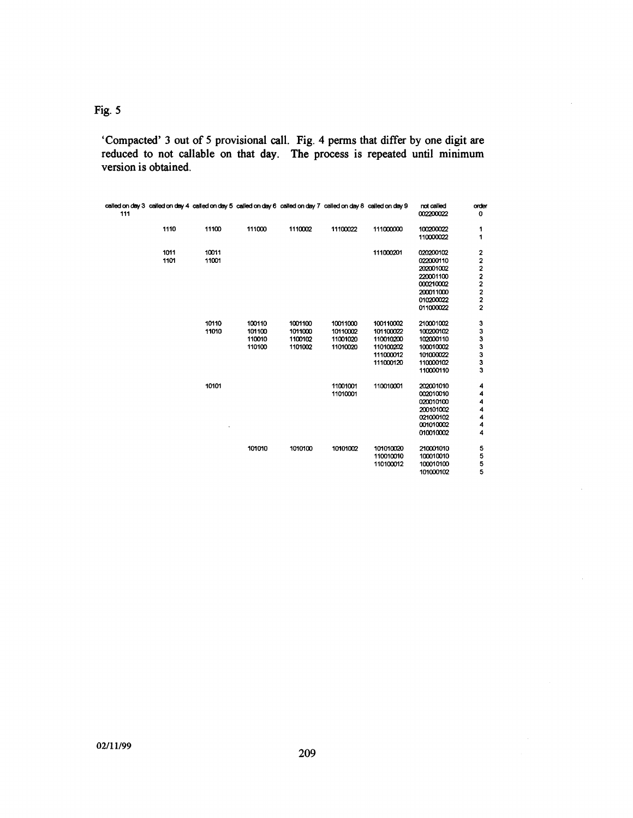# Fig. 5

'Compacted' 3 out of 5 provisional call. Fig. 4 perms that differ by one digit are reduced to not callable on that day. The process is repeated until minimum version is obtained.

J.

 $\bar{z}$ 

| 111 |      | called on day 3 called on day 4 called on day 5 called on day 6 called on day 7 called on day 8 called on day 9 |        |         |          |           | not called<br>002200022 | order<br>O  |
|-----|------|-----------------------------------------------------------------------------------------------------------------|--------|---------|----------|-----------|-------------------------|-------------|
|     | 1110 | 11100                                                                                                           | 111000 | 1110002 | 11100022 | 111000000 | 100200022               | 1           |
|     |      |                                                                                                                 |        |         |          |           | 110000022               | 1           |
|     | 1011 | 10011                                                                                                           |        |         |          | 111000201 | 020200102               | 2           |
|     | 1101 | 11001                                                                                                           |        |         |          |           | 022000110               | 222222      |
|     |      |                                                                                                                 |        |         |          |           | 202001002               |             |
|     |      |                                                                                                                 |        |         |          |           | 220001100               |             |
|     |      |                                                                                                                 |        |         |          |           | 000210002               |             |
|     |      |                                                                                                                 |        |         |          |           | 200011000               |             |
|     |      |                                                                                                                 |        |         |          |           | 010200022               |             |
|     |      |                                                                                                                 |        |         |          |           | 011000022               |             |
|     |      | 10110                                                                                                           | 100110 | 1001100 | 10011000 | 100110002 | 210001002               | 3           |
|     |      | 11010                                                                                                           | 101100 | 1011000 | 10110002 | 101100022 | 100200102               |             |
|     |      |                                                                                                                 | 110010 | 1100102 | 11001020 | 110010200 | 102000110               | з<br>3<br>3 |
|     |      |                                                                                                                 | 110100 | 1101002 | 11010020 | 110100202 | 100010002               |             |
|     |      |                                                                                                                 |        |         |          | 111000012 | 101000022               | 3           |
|     |      |                                                                                                                 |        |         |          | 111000120 | 110000102               | 3           |
|     |      |                                                                                                                 |        |         |          |           | 110000110               | 3           |
|     |      | 10101                                                                                                           |        |         | 11001001 | 110010001 | 202001010               | 4           |
|     |      |                                                                                                                 |        |         | 11010001 |           | 002010010               | 4           |
|     |      |                                                                                                                 |        |         |          |           | 020010100               | 4           |
|     |      |                                                                                                                 |        |         |          |           | 200101002               | 4           |
|     |      |                                                                                                                 |        |         |          |           | 021000102               | 4           |
|     |      |                                                                                                                 |        |         |          |           | 001010002               | 4           |
|     |      |                                                                                                                 |        |         |          |           | 010010002               | 4           |
|     |      |                                                                                                                 | 101010 | 1010100 | 10101002 | 101010020 | 210001010               | 5           |
|     |      |                                                                                                                 |        |         |          | 110010010 | 100010010               | 5           |
|     |      |                                                                                                                 |        |         |          | 110100012 | 100010100               | 5           |
|     |      |                                                                                                                 |        |         |          |           | 101000102               | 5           |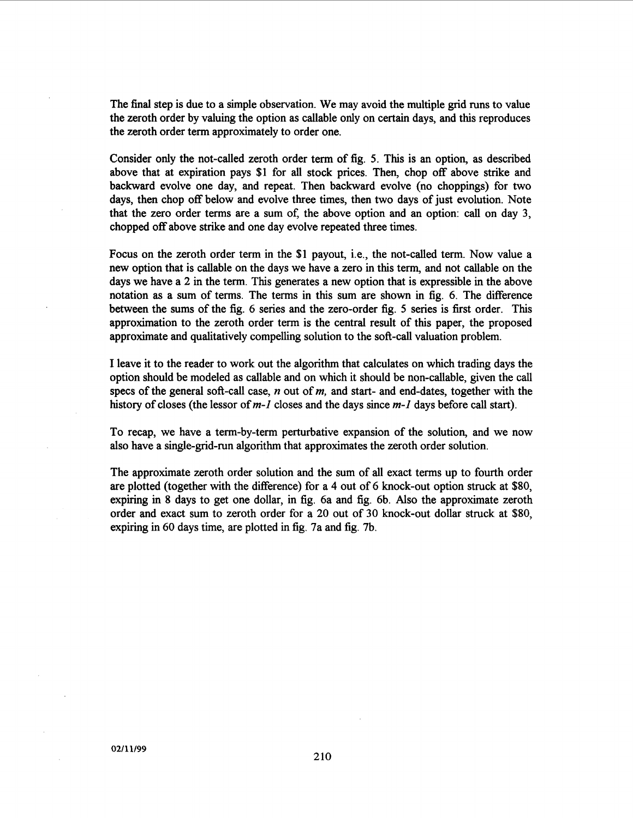The final step is due to a simple observation. We may avoid the multiple grid runs to value the zeroth order by valuing the option as callable only on certain days, and this reproduces the zeroth order term approximately to order one.

Consider only the not-called zeroth order term of fig. 5. This is an option, as described above that at expiration pays \$1 for all stock prices. Then, chop off above strike and backward evolve one day, and repeat. Then backward evolve (no choppings) for two days, then chop off below and evolve three times, then two days of just evolution. Note that the zero order terms are a sum *of,* the above option and **an** option: call on day 3, chopped off above strike and one day evolve repeated three times.

Focus on the zeroth order term in the \$1 payout, i.e., the not-called term. Now value a new option that is callable on the days we have a zero in this term, and not callable on the days we have a 2 in the term. This generates a new option that is expressible in the above notation as a sum of terms. The terms in this sum are shown in [fig. 6.](#page-13-0) The difference between the sums of the [fig. 6](#page-13-0) series and the zero-order fig. 5 series is first order. This approximation to the zeroth order term is the central result of this paper, the proposed approximate and qualitatively compelling solution to the soft-call valuation problem.

I leave it to the reader to work out the algorithm that calculates on which trading days the option should be modeled as callable and on which it should be non-callable, given the call specs of the general soft-call case, n out of *m,* and start- and end-dates, together with the history of closes (the lessor of *m-I* closes and the days since *m-I* days before call start).

To recap, we have a term-by-term perturbative expansion of the solution, and we now also have a single-grid-run algorithm that approximates the zeroth order solution.

The approximate zeroth order solution and the sum of all exact terms up to fourth order are plotted (together with the difference) for a **4** out of 6 knock-out option struck at \$80, expiring in 8 days to get one dollar, in fig. 6a and fig. 6b. *Also* the approximate zeroth order and exact sum to zeroth order for a 20 out of 30 knock-out dollar struck at \$80, expiring in 60 days time, are plotted in fig. 7a and fig. 7b.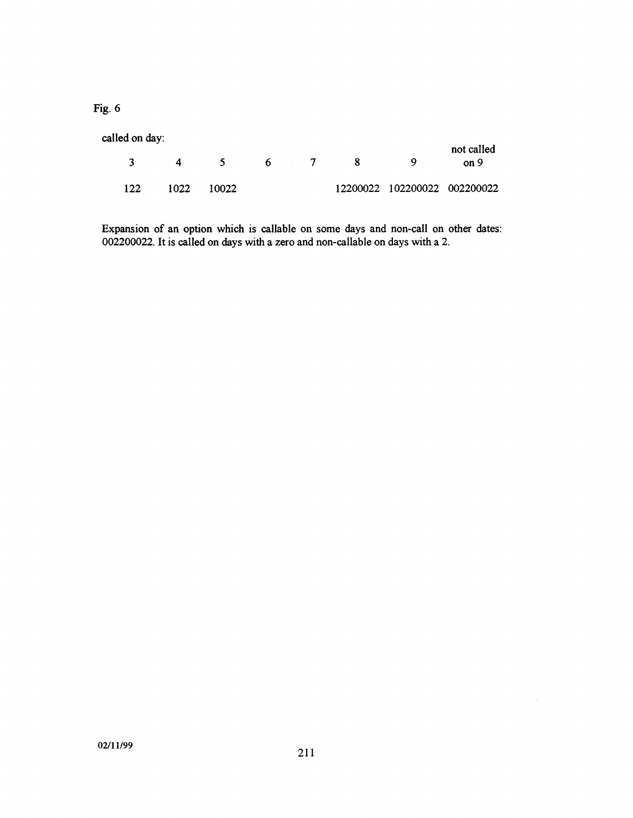<span id="page-13-0"></span>

| called on day: |      |       |              |  |  |                |                              |                               |
|----------------|------|-------|--------------|--|--|----------------|------------------------------|-------------------------------|
| $\mathbf{R}$   | 4    | 5     | $6 \qquad 7$ |  |  | 8 <sup>2</sup> | 9                            | not called<br>on <sub>9</sub> |
| 122            | 1022 | 10022 |              |  |  |                | 12200022 102200022 002200022 |                               |

**Expansion of an option which is callable on some days and non-call on other dates:**  002200022. **It is called on days with a zero and non-callable on days with a** 2.

 $\sim$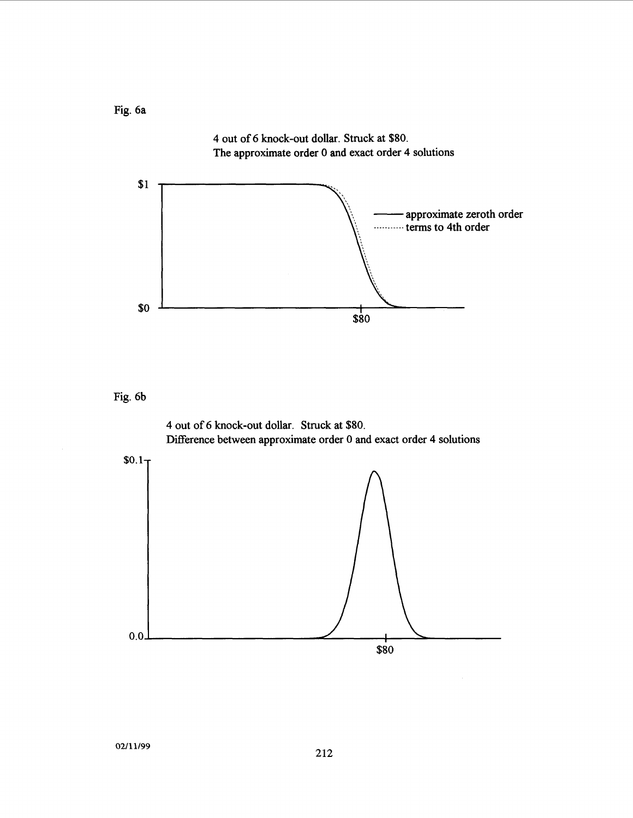**Fig. 6a** 



**Fig. 6b** 



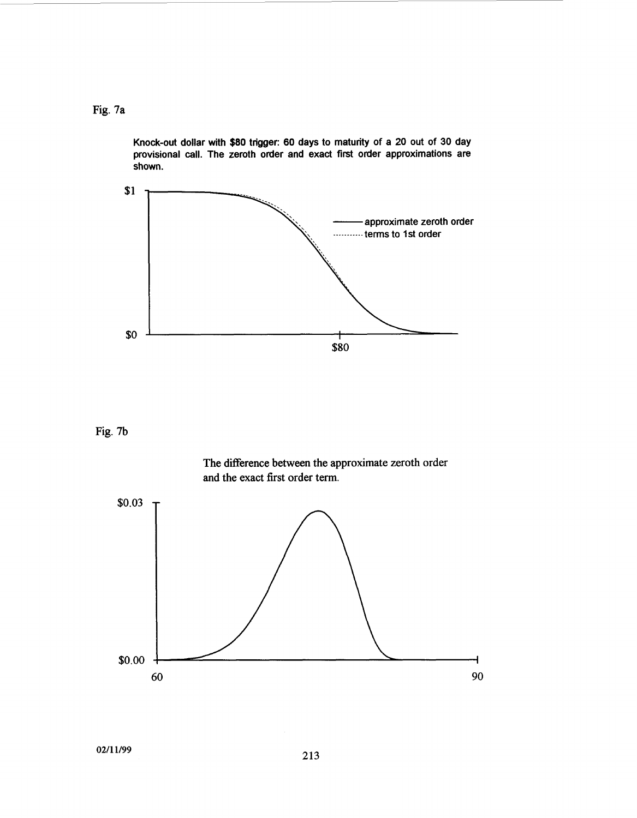**Fig. 7a** 

**Knock-out dollar with \$80 trigger: 60 days to maturity of a 20 out of 30 day provisional call. The zeroth order and exact** first **order approximations are shown.** 







**02/11/99** 213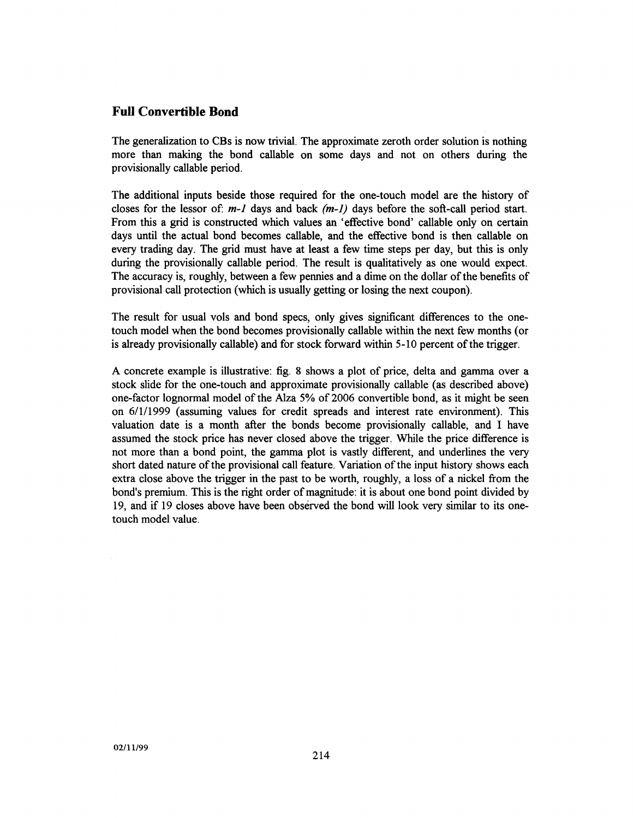## **Full Convertible Bond**

The generalization to **CBs** is now trivial. The approximate zeroth order solution is nothing more than making the bond callable on some days and not on others during the provisionally callable period.

The additional inputs beside those required for the one-touch model are the history of closes for the lessor of: *m-I* days and back *(m-I)* days before the soft-call period start. From this a grid is constructed which values **an** 'effective bond' callable only on certain days until the actual bond becomes callable, and the effective bond is then callable on every trading day. The grid must have at least a few time steps per day, but this is only during the provisionally callable period. The result is qualitatively as one would expect. The accuracy **is,** roughly, between a few pennies and a dime on the dollar of the benefits of provisional call protection (which is usually getting or losing the next coupon).

The result for usual vols and bond specs, only gives significant differences to the onetouch model when the bond becomes provisionally callable within the next few months (or is already provisionally callable) and for stock forward within 5-10 percent of the trigger.

**A** concrete example is illustrative: [fig.](#page-17-0) **8** shows a plot of price, delta and gamma over a stock slide for the one-touch and approximate provisionally callable (as described above) one-factor lognormal model of the Alza 5% of 2006 convertible bond, as it might be seen on 6/1/1999 (assuming values for credit spreads and interest rate environment). This valuation date is a month after the bonds become provisionally callable, and I have assumed the stock price has never closed above the trigger. While the price difference is not more than a bond point, the gamma plot is vastly different, and underlines the very short dated nature of the provisional call feature. Variation of the input history shows each extra close above the trigger in the past to be worth, roughly, a loss of a nickel from the bond's premium. This is the right order of magnitude: it is about one bond point divided by 19, and if 19 closes above have been observed the bond will look very similar to its onetouch model value.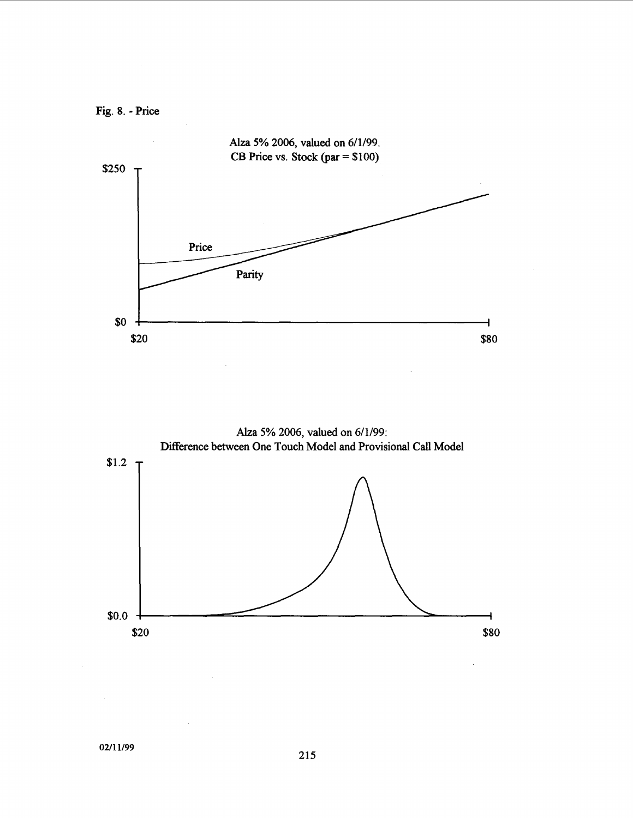<span id="page-17-0"></span>



Alza **5% 2006, valued on 6/1/99: Difference between One Touch Model and Provisional Call Model** 

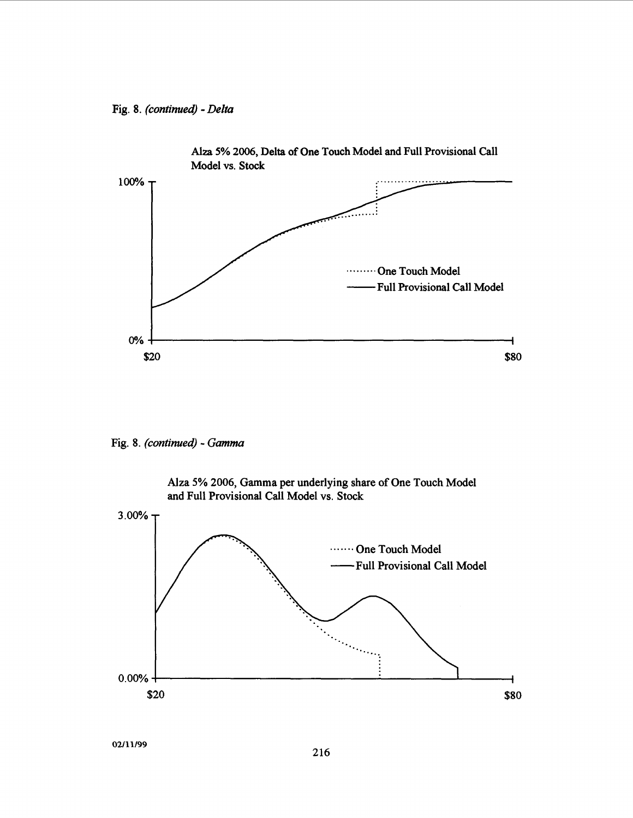



Alza 5% 2006, Delta of One Touch Model and Full Provisional Call

Fig. 8. (continued) - Gamma